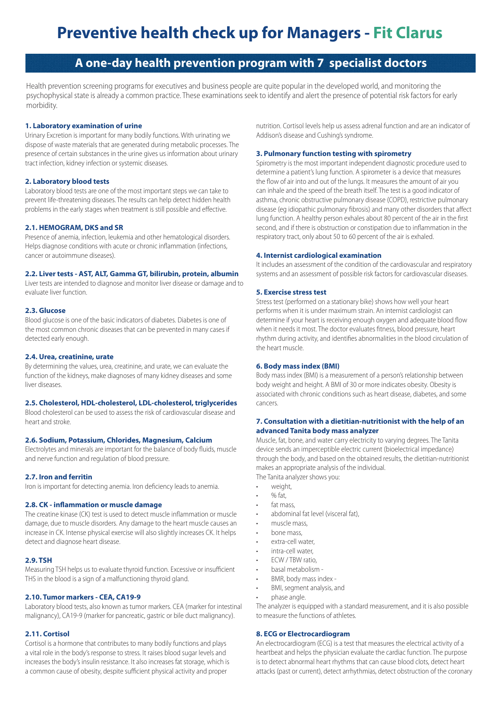# **Preventive health check up for Managers - Fit Clarus**

# **A one-day health prevention program with 7 specialist doctors**

Health prevention screening programs for executives and business people are quite popular in the developed world, and monitoring the psychophysical state is already a common practice. These examinations seek to identify and alert the presence of potential risk factors for early morbidity.

### **1. Laboratory examination of urine**

Urinary Excretion is important for many bodily functions. With urinating we dispose of waste materials that are generated during metabolic processes. The presence of certain substances in the urine gives us information about urinary tract infection, kidney infection or systemic diseases.

# **2. Laboratory blood tests**

Laboratory blood tests are one of the most important steps we can take to prevent life-threatening diseases. The results can help detect hidden health problems in the early stages when treatment is still possible and effective.

### **2.1. HEMOGRAM, DKS and SR**

Presence of anemia, infection, leukemia and other hematological disorders. Helps diagnose conditions with acute or chronic inflammation (infections, cancer or autoimmune diseases).

#### **2.2. Liver tests - AST, ALT, Gamma GT, bilirubin, protein, albumin**

Liver tests are intended to diagnose and monitor liver disease or damage and to evaluate liver function.

#### **2.3. Glucose**

Blood glucose is one of the basic indicators of diabetes. Diabetes is one of the most common chronic diseases that can be prevented in many cases if detected early enough.

#### **2.4. Urea, creatinine, urate**

By determining the values, urea, creatinine, and urate, we can evaluate the function of the kidneys, make diagnoses of many kidney diseases and some liver diseases.

#### **2.5. Cholesterol, HDL-cholesterol, LDL-cholesterol, triglycerides**

Blood cholesterol can be used to assess the risk of cardiovascular disease and heart and stroke.

#### **2.6. Sodium, Potassium, Chlorides, Magnesium, Calcium**

Electrolytes and minerals are important for the balance of body fluids, muscle and nerve function and regulation of blood pressure.

#### **2.7. Iron and ferritin**

Iron is important for detecting anemia. Iron deficiency leads to anemia.

#### **2.8. CK - inflammation or muscle damage**

The creatine kinase (CK) test is used to detect muscle inflammation or muscle damage, due to muscle disorders. Any damage to the heart muscle causes an increase in CK. Intense physical exercise will also slightly increases CK. It helps detect and diagnose heart disease.

#### **2.9. TSH**

Measuring TSH helps us to evaluate thyroid function. Excessive or insufficient THS in the blood is a sign of a malfunctioning thyroid gland.

#### **2.10. Tumor markers - CEA, CA19-9**

Laboratory blood tests, also known as tumor markers. CEA (marker for intestinal malignancy), CA19-9 (marker for pancreatic, gastric or bile duct malignancy).

# **2.11. Cortisol**

Cortisol is a hormone that contributes to many bodily functions and plays a vital role in the body's response to stress. It raises blood sugar levels and increases the body's insulin resistance. It also increases fat storage, which is a common cause of obesity, despite sufficient physical activity and proper

nutrition. Cortisol levels help us assess adrenal function and are an indicator of Addison's disease and Cushing's syndrome.

# **3. Pulmonary function testing with spirometry**

Spirometry is the most important independent diagnostic procedure used to determine a patient's lung function. A spirometer is a device that measures the flow of air into and out of the lungs. It measures the amount of air you can inhale and the speed of the breath itself. The test is a good indicator of asthma, chronic obstructive pulmonary disease (COPD), restrictive pulmonary disease (eg idiopathic pulmonary fibrosis) and many other disorders that affect lung function. A healthy person exhales about 80 percent of the air in the first second, and if there is obstruction or constipation due to inflammation in the respiratory tract, only about 50 to 60 percent of the air is exhaled.

#### **4. Internist cardiological examination**

It includes an assessment of the condition of the cardiovascular and respiratory systems and an assessment of possible risk factors for cardiovascular diseases.

#### **5. Exercise stress test**

Stress test (performed on a stationary bike) shows how well your heart performs when it is under maximum strain. An internist cardiologist can determine if your heart is receiving enough oxygen and adequate blood flow when it needs it most. The doctor evaluates fitness, blood pressure, heart rhythm during activity, and identifies abnormalities in the blood circulation of the heart muscle.

#### **6. Body mass index (BMI)**

Body mass index (BMI) is a measurement of a person's relationship between body weight and height. A BMI of 30 or more indicates obesity. Obesity is associated with chronic conditions such as heart disease, diabetes, and some cancers.

#### **7. Consultation with a dietitian-nutritionist with the help of an advanced Tanita body mass analyzer**

Muscle, fat, bone, and water carry electricity to varying degrees. The Tanita device sends an imperceptible electric current (bioelectrical impedance) through the body, and based on the obtained results, the dietitian-nutritionist makes an appropriate analysis of the individual.

The Tanita analyzer shows you:

- weight.
- % fat,
- fat mass.
- abdominal fat level (visceral fat),
- muscle mass,
- bone mass,
- extra-cell water,
- intra-cell water,
- ECW / TBW ratio,
- basal metabolism -
- BMR, body mass index -
- BMI, segment analysis, and
- phase angle.

The analyzer is equipped with a standard measurement, and it is also possible to measure the functions of athletes.

## **8. ECG or Electrocardiogram**

An electrocardiogram (ECG) is a test that measures the electrical activity of a heartbeat and helps the physician evaluate the cardiac function. The purpose is to detect abnormal heart rhythms that can cause blood clots, detect heart attacks (past or current), detect arrhythmias, detect obstruction of the coronary